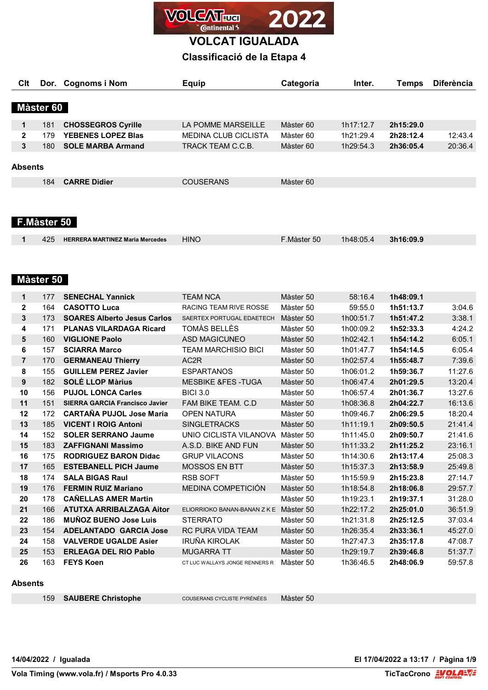

## **Classificació de la Etapa 4**

| Clt            |             | Dor. Cognoms i Nom                                        | <b>Equip</b>                                 | Categoria              | Inter.                 | <b>Temps</b>           | <b>Diferència</b>  |
|----------------|-------------|-----------------------------------------------------------|----------------------------------------------|------------------------|------------------------|------------------------|--------------------|
|                | Màster 60   |                                                           |                                              |                        |                        |                        |                    |
|                |             |                                                           |                                              |                        |                        |                        |                    |
| 1              | 181         | <b>CHOSSEGROS Cyrille</b>                                 | LA POMME MARSEILLE                           | Màster 60              | 1h17:12.7              | 2h15:29.0              |                    |
| 2              | 179         | <b>YEBENES LOPEZ Blas</b>                                 | <b>MEDINA CLUB CICLISTA</b>                  | Màster 60              | 1h21:29.4              | 2h28:12.4              | 12:43.4            |
| 3              | 180         | <b>SOLE MARBA Armand</b>                                  | TRACK TEAM C.C.B.                            | Màster 60              | 1h29:54.3              | 2h36:05.4              | 20:36.4            |
| <b>Absents</b> |             |                                                           |                                              |                        |                        |                        |                    |
|                | 184         | <b>CARRE Didier</b>                                       | <b>COUSERANS</b>                             | Màster 60              |                        |                        |                    |
|                | F.Màster 50 |                                                           |                                              |                        |                        |                        |                    |
| 1              | 425         | <b>HERRERA MARTINEZ Maria Mercedes</b>                    | <b>HINO</b>                                  | F.Màster 50            | 1h48:05.4              | 3h16:09.9              |                    |
|                |             |                                                           |                                              |                        |                        |                        |                    |
|                |             |                                                           |                                              |                        |                        |                        |                    |
|                | Màster 50   |                                                           |                                              |                        |                        |                        |                    |
| $\mathbf 1$    | 177         | <b>SENECHAL Yannick</b>                                   | <b>TEAM NCA</b>                              | Màster 50              | 58:16.4                | 1h48:09.1              |                    |
| 2              | 164         | <b>CASOTTO Luca</b>                                       | <b>RACING TEAM RIVE ROSSE</b>                | Màster 50              | 59:55.0                | 1h51:13.7              | 3:04.6             |
| 3              | 173         | <b>SOARES Alberto Jesus Carlos</b>                        | SAERTEX PORTUGAL EDAETECH                    | Màster 50              | 1h00:51.7              | 1h51:47.2              | 3:38.1             |
| 4              | 171         | <b>PLANAS VILARDAGA Ricard</b>                            | TOMÀS BELLÈS                                 | Màster 50              | 1h00:09.2              | 1h52:33.3              | 4:24.2             |
| 5              | 160         | <b>VIGLIONE Paolo</b>                                     | <b>ASD MAGICUNEO</b>                         | Màster 50              | 1h02:42.1              | 1h54:14.2              | 6:05.1             |
| 6              | 157         | <b>SCIARRA Marco</b>                                      | <b>TEAM MARCHISIO BICI</b>                   | Màster 50              | 1h01:47.7              | 1h54:14.5              | 6:05.4             |
| $\overline{7}$ | 170         | <b>GERMANEAU Thierry</b>                                  | AC <sub>2</sub> R                            | Màster 50              | 1h02:57.4              | 1h55:48.7              | 7:39.6             |
| 8              | 155         | <b>GUILLEM PEREZ Javier</b>                               | <b>ESPARTANOS</b>                            | Màster 50              | 1h06:01.2              | 1h59:36.7              | 11:27.6            |
| 9              | 182         | <b>SOLÉ LLOP Màrius</b>                                   | <b>MESBIKE &amp;FES-TUGA</b>                 | Màster 50              | 1h06:47.4              | 2h01:29.5              | 13:20.4            |
| 10             | 156         | <b>PUJOL LONCA Carles</b>                                 | <b>BICI 3.0</b>                              | Màster 50              | 1h06:57.4              | 2h01:36.7              | 13:27.6            |
| 11             | 151         | <b>SIERRA GARCIA Francisco Javier</b>                     | FAM BIKE TEAM. C.D                           | Màster 50              | 1h08:36.8              | 2h04:22.7              | 16:13.6            |
| 12             | 172         | <b>CARTAÑA PUJOL Jose Maria</b>                           | <b>OPEN NATURA</b>                           | Màster 50              | 1h09:46.7              | 2h06:29.5              | 18:20.4            |
| 13             | 185         | <b>VICENT I ROIG Antoni</b>                               | <b>SINGLETRACKS</b>                          | Màster 50              | 1h11:19.1              | 2h09:50.5              | 21:41.4            |
| 14             | 152         | <b>SOLER SERRANO Jaume</b>                                | UNIO CICLISTA VILANOVA Màster 50             |                        | 1h11:45.0              | 2h09:50.7              | 21:41.6            |
|                |             |                                                           |                                              |                        |                        |                        |                    |
| 15             | 183         | <b>ZAFFIGNANI Massimo</b><br><b>RODRIGUEZ BARON Didac</b> | A.S.D. BIKE AND FUN                          | Màster 50              | 1h11:33.2              | 2h11:25.2              | 23:16.1<br>25:08.3 |
| 16<br>17       | 175<br>165  | <b>ESTEBANELL PICH Jaume</b>                              | <b>GRUP VILACONS</b><br><b>MOSSOS EN BTT</b> | Màster 50              | 1h14:30.6              | 2h13:17.4<br>2h13:58.9 |                    |
| 18             | 174         | <b>SALA BIGAS Raul</b>                                    | RSB SOFT                                     | Màster 50<br>Màster 50 | 1h15:37.3<br>1h15:59.9 | 2h15:23.8              | 25:49.8<br>27:14.7 |
|                |             |                                                           |                                              |                        |                        |                        |                    |
| 19             | 176         | <b>FERMIN RUIZ Mariano</b>                                | MEDINA COMPETICIÓN                           | Màster 50              | 1h18:54.8              | 2h18:06.8              | 29:57.7            |
| 20             | 178         | <b>CAÑELLAS AMER Martin</b>                               |                                              | Màster 50              | 1h19:23.1              | 2h19:37.1              | 31:28.0            |
| 21             | 166         | <b>ATUTXA ARRIBALZAGA Aitor</b>                           | ELIORRIOKO BANAN-BANAN Z K E Màster 50       |                        | 1h22:17.2              | 2h25:01.0              | 36:51.9            |
| 22             | 186         | <b>MUÑOZ BUENO Jose Luis</b>                              | <b>STERRATO</b>                              | Màster 50              | 1h21:31.8              | 2h25:12.5              | 37:03.4            |
| 23             | 154         | <b>ADELANTADO GARCIA Jose</b>                             | RC PURA VIDA TEAM                            | Màster 50              | 1h26:35.4              | 2h33:36.1              | 45:27.0            |
| 24             | 158         | <b>VALVERDE UGALDE Asier</b>                              | IRUÑA KIROLAK                                | Màster 50              | 1h27:47.3              | 2h35:17.8              | 47:08.7            |
| 25             | 153         | <b>ERLEAGA DEL RIO Pablo</b>                              | <b>MUGARRA TT</b>                            | Màster 50              | 1h29:19.7              | 2h39:46.8              | 51:37.7            |
| 26             | 163         | <b>FEYS Koen</b>                                          | CT LUC WALLAYS JONGE RENNERS R               | Màster 50              | 1h36:46.5              | 2h48:06.9              | 59:57.8            |

#### **Absents**

**SAUBERE Christophe** COUSERANS CYCLISTE PYRÉNÉES Màster 50

**14/04/2022 / Igualada El 17/04/2022 a 13:17 / Pàgina 1/9**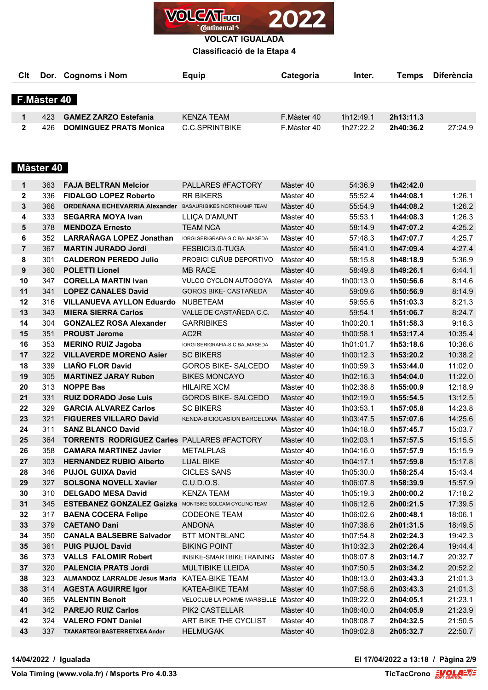

**Classificació de la Etapa 4**

| Clt            |             | Dor. Cognoms i Nom                                            | <b>Equip</b>                          | Categoria   | Inter.    | <b>Temps</b> | <b>Diferència</b> |
|----------------|-------------|---------------------------------------------------------------|---------------------------------------|-------------|-----------|--------------|-------------------|
|                | F.Màster 40 |                                                               |                                       |             |           |              |                   |
|                |             |                                                               |                                       |             |           |              |                   |
| 1              | 423         | <b>GAMEZ ZARZO Estefania</b>                                  | <b>KENZA TEAM</b>                     | F.Màster 40 | 1h12:49.1 | 2h13:11.3    |                   |
| 2              | 426         | <b>DOMINGUEZ PRATS Monica</b>                                 | <b>C.C.SPRINTBIKE</b>                 | F.Màster 40 | 1h27:22.2 | 2h40:36.2    | 27:24.9           |
|                | Màster 40   |                                                               |                                       |             |           |              |                   |
| 1              | 363         | <b>FAJA BELTRAN Melcior</b>                                   | PALLARES #FACTORY                     | Màster 40   | 54:36.9   | 1h42:42.0    |                   |
| $\mathbf 2$    | 336         | <b>FIDALGO LOPEZ Roberto</b>                                  | <b>RR BIKERS</b>                      | Màster 40   | 55:52.4   | 1h44:08.1    | 1:26.1            |
| 3              | 366         | ORDEÑANA ECHEVARRIA Alexander                                 | <b>BASAURI BIKES NORTHKAMP TEAM</b>   | Màster 40   | 55:54.9   | 1h44:08.2    | 1:26.2            |
| 4              | 333         | <b>SEGARRA MOYA Ivan</b>                                      | LLIÇA D'AMUNT                         | Màster 40   | 55:53.1   | 1h44:08.3    | 1:26.3            |
| 5              | 378         | <b>MENDOZA Ernesto</b>                                        | <b>TEAM NCA</b>                       | Màster 40   | 58:14.9   | 1h47:07.2    | 4:25.2            |
| 6              | 352         | LARRAÑAGA LOPEZ Jonathan                                      | IORGI SERIGRAFIA-S.C.BALMASEDA        | Màster 40   | 57:48.3   | 1h47:07.7    | 4:25.7            |
| $\overline{7}$ | 367         | <b>MARTIN JURADO Jordi</b>                                    | FESBICI3.0-TUGA                       | Màster 40   | 56:41.0   | 1h47:09.4    | 4:27.4            |
| 8              | 301         | <b>CALDERON PEREDO Julio</b>                                  | PROBICI CLÑUB DEPORTIVO               | Màster 40   | 58:15.8   | 1h48:18.9    | 5:36.9            |
| 9              | 360         | <b>POLETTI Lionel</b>                                         | <b>MB RACE</b>                        | Màster 40   | 58:49.8   | 1h49:26.1    | 6:44.1            |
| 10             | 347         | <b>CORELLA MARTIN Ivan</b>                                    | VULCO CYCLON AUTOGOYA                 | Màster 40   | 1h00:13.0 | 1h50:56.6    | 8:14.6            |
| 11             | 341         | <b>LOPEZ CANALES David</b>                                    | <b>GOROS BIKE- CASTAÑEDA</b>          | Màster 40   | 59:09.6   | 1h50:56.9    | 8:14.9            |
| 12             | 316         | <b>VILLANUEVA AYLLON Eduardo</b>                              | <b>NUBETEAM</b>                       | Màster 40   | 59:55.6   | 1h51:03.3    | 8:21.3            |
| 13             | 343         | <b>MIERA SIERRA Carlos</b>                                    | VALLE DE CASTAÑEDA C.C.               | Màster 40   | 59:54.1   | 1h51:06.7    | 8:24.7            |
| 14             | 304         | <b>GONZALEZ ROSA Alexander</b>                                | <b>GARRIBIKES</b>                     | Màster 40   | 1h00:20.1 | 1h51:58.3    | 9:16.3            |
| 15             | 351         | <b>PROUST Jerome</b>                                          | AC2R                                  | Màster 40   | 1h00:58.1 | 1h53:17.4    | 10:35.4           |
| 16             | 353         | <b>MERINO RUIZ Jagoba</b>                                     | IORGI SERIGRAFIA-S.C.BALMASEDA        | Màster 40   | 1h01:01.7 | 1h53:18.6    | 10:36.6           |
| 17             | 322         | <b>VILLAVERDE MORENO Asier</b>                                | <b>SC BIKERS</b>                      | Màster 40   | 1h00:12.3 | 1h53:20.2    | 10:38.2           |
| 18             | 339         | <b>LIAÑO FLOR David</b>                                       | <b>GOROS BIKE- SALCEDO</b>            | Màster 40   | 1h00:59.3 | 1h53:44.0    | 11:02.0           |
| 19             | 305         | <b>MARTINEZ JARAY Ruben</b>                                   | <b>BIKES MONCAYO</b>                  | Màster 40   | 1h02:16.3 | 1h54:04.0    | 11:22.0           |
| 20             | 313         | <b>NOPPE Bas</b>                                              | <b>HILAIRE XCM</b>                    | Màster 40   | 1h02:38.8 | 1h55:00.9    | 12:18.9           |
| 21             | 331         | <b>RUIZ DORADO Jose Luis</b>                                  | <b>GOROS BIKE- SALCEDO</b>            | Màster 40   | 1h02:19.0 | 1h55:54.5    | 13:12.5           |
| 22             | 329         | <b>GARCIA ALVAREZ Carlos</b>                                  | <b>SC BIKERS</b>                      | Màster 40   | 1h03:53.1 | 1h57:05.8    | 14:23.8           |
| 23             | 321         | <b>FIGUERES VILLARO David</b>                                 | KENDA-BICIOCASION BARCELONA Màster 40 |             | 1h03:47.5 | 1h57:07.6    | 14:25.6           |
| 24             | 311         | <b>SANZ BLANCO David</b>                                      |                                       | Màster 40   | 1h04:18.0 | 1h57:45.7    | 15:03.7           |
| 25             | 364         | TORRENTS RODRIGUEZ Carles PALLARES #FACTORY                   |                                       | Màster 40   | 1h02:03.1 | 1h57:57.5    | 15:15.5           |
| 26             | 358         | <b>CAMARA MARTINEZ Javier</b>                                 | <b>METALPLAS</b>                      | Màster 40   | 1h04:16.0 | 1h57:57.9    | 15:15.9           |
| 27             | 303         | <b>HERNANDEZ RUBIO Alberto</b>                                | <b>LUAL BIKE</b>                      | Màster 40   | 1h04:17.1 | 1h57:59.8    | 15:17.8           |
| 28             | 346         | <b>PUJOL GUIXA David</b>                                      | <b>CICLES SANS</b>                    | Màster 40   | 1h05:30.0 | 1h58:25.4    | 15:43.4           |
| 29             | 327         | <b>SOLSONA NOVELL Xavier</b>                                  | C.U.D.O.S.                            | Màster 40   | 1h06:07.8 | 1h58:39.9    | 15:57.9           |
| 30             | 310         | <b>DELGADO MESA David</b>                                     | <b>KENZA TEAM</b>                     | Màster 40   | 1h05:19.3 | 2h00:00.2    | 17:18.2           |
| 31             | 345         | <b>ESTEBANEZ GONZALEZ Gaizka</b> MONTBIKE SOLCAM CYCLING TEAM |                                       | Màster 40   | 1h06:12.6 | 2h00:21.5    | 17:39.5           |
| 32             | 317         | <b>BAENA COCERA Felipe</b>                                    | <b>CODEONE TEAM</b>                   | Màster 40   | 1h06:02.6 | 2h00:48.1    | 18:06.1           |
| 33             | 379         | <b>CAETANO Dani</b>                                           | <b>ANDONA</b>                         | Màster 40   | 1h07:38.6 | 2h01:31.5    | 18:49.5           |
| 34             | 350         | <b>CANALA BALSEBRE Salvador</b>                               | BTT MONTBLANC                         | Màster 40   | 1h07:54.8 | 2h02:24.3    | 19:42.3           |
| 35             | 361         | <b>PUIG PUJOL David</b>                                       | <b>BIKING POINT</b>                   | Màster 40   | 1h10:32.3 | 2h02:26.4    | 19:44.4           |
| 36             | 373         | <b>VALLS FALOMIR Robert</b>                                   | INBIKE-SMARTBIKETRAINING              | Màster 40   | 1h08:07.8 | 2h03:14.7    | 20:32.7           |
| 37             | 320         | <b>PALENCIA PRATS Jordi</b>                                   | <b>MULTIBIKE LLEIDA</b>               | Màster 40   | 1h07:50.5 | 2h03:34.2    | 20:52.2           |
| 38             | 323         | <b>ALMANDOZ LARRALDE Jesus Maria</b>                          | KATEA-BIKE TEAM                       | Màster 40   | 1h08:13.0 | 2h03:43.3    | 21:01.3           |
| 38             | 314         | <b>AGESTA AGUIRRE Igor</b>                                    | <b>KATEA-BIKE TEAM</b>                | Màster 40   | 1h07:58.6 | 2h03:43.3    | 21:01.3           |
| 40             | 365         | <b>VALENTIN Benoit</b>                                        | VELOCLUB LA POMME MARSEILLE Màster 40 |             | 1h09:22.0 | 2h04:05.1    | 21:23.1           |
| 41             | 342         | <b>PAREJO RUIZ Carlos</b>                                     | PIK2 CASTELLAR                        | Màster 40   | 1h08:40.0 | 2h04:05.9    | 21:23.9           |
| 42             | 324         | <b>VALERO FONT Daniel</b>                                     | ART BIKE THE CYCLIST                  | Màster 40   | 1h08:08.7 | 2h04:32.5    | 21:50.5           |
| 43             | 337         | TXAKARTEGI BASTERRETXEA Ander                                 | <b>HELMUGAK</b>                       | Màster 40   | 1h09:02.8 | 2h05:32.7    | 22:50.7           |
|                |             |                                                               |                                       |             |           |              |                   |

**14/04/2022 / Igualada El 17/04/2022 a 13:18 / Pàgina 2/9**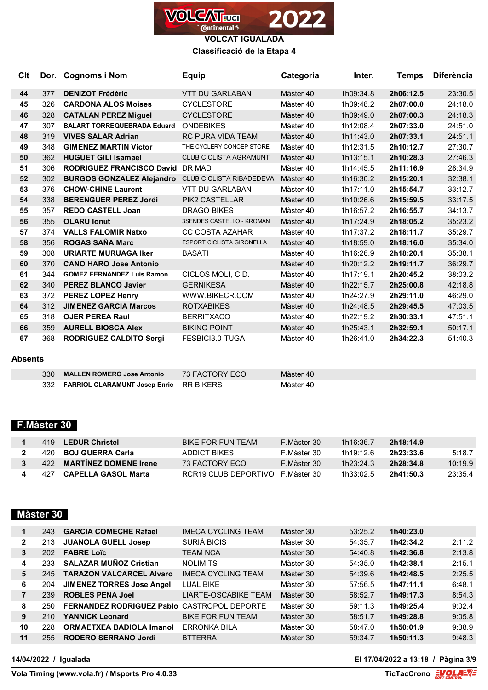

**VOLCAT IGUALADA Classificació de la Etapa 4**

| Clt |     | Dor. Cognoms i Nom                 | <b>Equip</b>                     | Categoria | Inter.    | <b>Temps</b> | <b>Diferència</b> |
|-----|-----|------------------------------------|----------------------------------|-----------|-----------|--------------|-------------------|
|     |     |                                    |                                  |           |           |              |                   |
| 44  | 377 | <b>DENIZOT Frédéric</b>            | <b>VTT DU GARLABAN</b>           | Màster 40 | 1h09:34.8 | 2h06:12.5    | 23:30.5           |
| 45  | 326 | <b>CARDONA ALOS Moises</b>         | <b>CYCLESTORE</b>                | Màster 40 | 1h09:48.2 | 2h07:00.0    | 24:18.0           |
| 46  | 328 | <b>CATALAN PEREZ Miguel</b>        | <b>CYCLESTORE</b>                | Màster 40 | 1h09:49.0 | 2h07:00.3    | 24:18.3           |
| 47  | 307 | <b>BALART TORREQUEBRADA Eduard</b> | <b>ONDEBIKES</b>                 | Màster 40 | 1h12:08.4 | 2h07:33.0    | 24:51.0           |
| 48  | 319 | <b>VIVES SALAR Adrian</b>          | <b>RC PURA VIDA TEAM</b>         | Màster 40 | 1h11:43.0 | 2h07:33.1    | 24:51.1           |
| 49  | 348 | <b>GIMENEZ MARTIN Victor</b>       | THE CYCLERY CONCEP STORE         | Màster 40 | 1h12:31.5 | 2h10:12.7    | 27:30.7           |
| 50  | 362 | <b>HUGUET GILI Isamael</b>         | <b>CLUB CICLISTA AGRAMUNT</b>    | Màster 40 | 1h13:15.1 | 2h10:28.3    | 27:46.3           |
| 51  | 306 | <b>RODRIGUEZ FRANCISCO David</b>   | DR MAD                           | Màster 40 | 1h14:45.5 | 2h11:16.9    | 28:34.9           |
| 52  | 302 | <b>BURGOS GONZALEZ Alejandro</b>   | <b>CLUB CICLISTA RIBADEDEVA</b>  | Màster 40 | 1h16:30.2 | 2h15:20.1    | 32:38.1           |
| 53  | 376 | <b>CHOW-CHINE Laurent</b>          | VTT DU GARLABAN                  | Màster 40 | 1h17:11.0 | 2h15:54.7    | 33:12.7           |
| 54  | 338 | <b>BERENGUER PEREZ Jordi</b>       | <b>PIK2 CASTELLAR</b>            | Màster 40 | 1h10:26.6 | 2h15:59.5    | 33:17.5           |
| 55  | 357 | <b>REDO CASTELL Joan</b>           | <b>DRAGO BIKES</b>               | Màster 40 | 1h16:57.2 | 2h16:55.7    | 34:13.7           |
| 56  | 355 | <b>OLARU lonut</b>                 | 3SENDES CASTELLO - KROMAN        | Màster 40 | 1h17:24.9 | 2h18:05.2    | 35:23.2           |
| 57  | 374 | <b>VALLS FALOMIR Natxo</b>         | <b>CC COSTA AZAHAR</b>           | Màster 40 | 1h17:37.2 | 2h18:11.7    | 35:29.7           |
| 58  | 356 | <b>ROGAS SAÑA Marc</b>             | <b>ESPORT CICLISTA GIRONELLA</b> | Màster 40 | 1h18:59.0 | 2h18:16.0    | 35:34.0           |
| 59  | 308 | <b>URIARTE MURUAGA Iker</b>        | <b>BASATI</b>                    | Màster 40 | 1h16:26.9 | 2h18:20.1    | 35:38.1           |
| 60  | 370 | <b>CANO HARO Jose Antonio</b>      |                                  | Màster 40 | 1h20:12.2 | 2h19:11.7    | 36:29.7           |
| 61  | 344 | <b>GOMEZ FERNANDEZ Luis Ramon</b>  | CICLOS MOLI. C.D.                | Màster 40 | 1h17:19.1 | 2h20:45.2    | 38:03.2           |
| 62  | 340 | <b>PEREZ BLANCO Javier</b>         | <b>GERNIKESA</b>                 | Màster 40 | 1h22:15.7 | 2h25:00.8    | 42:18.8           |
| 63  | 372 | <b>PEREZ LOPEZ Henry</b>           | WWW.BIKECR.COM                   | Màster 40 | 1h24:27.9 | 2h29:11.0    | 46:29.0           |
| 64  | 312 | <b>JIMENEZ GARCIA Marcos</b>       | <b>ROTXABIKES</b>                | Màster 40 | 1h24:48.5 | 2h29:45.5    | 47:03.5           |
| 65  | 318 | <b>OJER PEREA Raul</b>             | <b>BERRITXACO</b>                | Màster 40 | 1h22:19.2 | 2h30:33.1    | 47:51.1           |
| 66  | 359 | <b>AURELL BIOSCA Alex</b>          | <b>BIKING POINT</b>              | Màster 40 | 1h25:43.1 | 2h32:59.1    | 50:17.1           |
| 67  | 368 | <b>RODRIGUEZ CALDITO Sergi</b>     | FESBICI3.0-TUGA                  | Màster 40 | 1h26:41.0 | 2h34:22.3    | 51:40.3           |

#### **Absents**

| 330 MALLEN ROMERO Jose Antonio              | 73 FACTORY ECO | Màster 40 |
|---------------------------------------------|----------------|-----------|
| 332 FARRIOL CLARAMUNT Josep Enric RR BIKERS |                | Màster 40 |

## **F.Màster 30**

|  | 419 LEDUR Christel          | BIKE FOR FUN TFAM                | F.Màster 30 | 1h16:36 7 | 2h18:14.9 |         |
|--|-----------------------------|----------------------------------|-------------|-----------|-----------|---------|
|  | 420 BOJ GUERRA Carla        | ADDICT BIKES                     | F.Màster 30 | 1h19·12 6 | 2h23:33.6 | 5:18.7  |
|  | 3 422 MARTINEZ DOMENE Irene | 73 FACTORY FCO                   | F.Màster 30 | 1h23:24.3 | 2h28:34.8 | 10:19.9 |
|  | 427 CAPELLA GASOL Marta     | RCR19 CLUB DEPORTIVO E Màster 30 |             | 1h33:02.5 | 2h41:50.3 | 23:35.4 |

### **Màster 30**

| 1            | 243 | <b>GARCIA COMECHE Rafael</b>                       | <b>IMECA CYCLING TEAM</b> | Màster 30 | 53:25.2 | 1h40:23.0 |        |
|--------------|-----|----------------------------------------------------|---------------------------|-----------|---------|-----------|--------|
| $\mathbf{2}$ | 213 | <b>JUANOLA GUELL Josep</b>                         | SURIÀ BICIS               | Màster 30 | 54:35.7 | 1h42:34.2 | 2:11.2 |
| 3            | 202 | <b>FABRE Loïc</b>                                  | TEAM NCA                  | Màster 30 | 54:40.8 | 1h42:36.8 | 2:13.8 |
| 4            | 233 | <b>SALAZAR MUÑOZ Cristian</b>                      | NOI IMITS                 | Màster 30 | 54:35.0 | 1h42:38.1 | 2:15.1 |
| 5            | 245 | <b>TARAZON VALCARCEL Alvaro</b>                    | <b>IMECA CYCLING TEAM</b> | Màster 30 | 54:39.6 | 1h42:48.5 | 2:25.5 |
| 6            | 204 | <b>JIMENEZ TORRES Jose Angel</b>                   | <b>LUAL BIKE</b>          | Màster 30 | 57:56.5 | 1h47:11.1 | 6:48.1 |
|              | 239 | <b>ROBLES PENA Joel</b>                            | LIARTE-OSCABIKE TEAM      | Màster 30 | 58:52.7 | 1h49:17.3 | 8:54.3 |
| 8            | 250 | <b>FERNANDEZ RODRIGUEZ Pablo CASTROPOL DEPORTE</b> |                           | Màster 30 | 59:11.3 | 1h49:25.4 | 9:02.4 |
| 9            | 210 | YANNICK Leonard                                    | <b>BIKE FOR FUN TEAM</b>  | Màster 30 | 58:51.7 | 1h49:28.8 | 9:05.8 |
| 10           | 228 | <b>ORMAETXEA BADIOLA Imanol</b>                    | <b>ERRONKA BILA</b>       | Màster 30 | 58:47.0 | 1h50:01.9 | 9:38.9 |
| 11           | 255 | <b>RODERO SERRANO Jordi</b>                        | <b>BTTERRA</b>            | Màster 30 | 59:34.7 | 1h50:11.3 | 9:48.3 |

**14/04/2022 / Igualada El 17/04/2022 a 13:18 / Pàgina 3/9**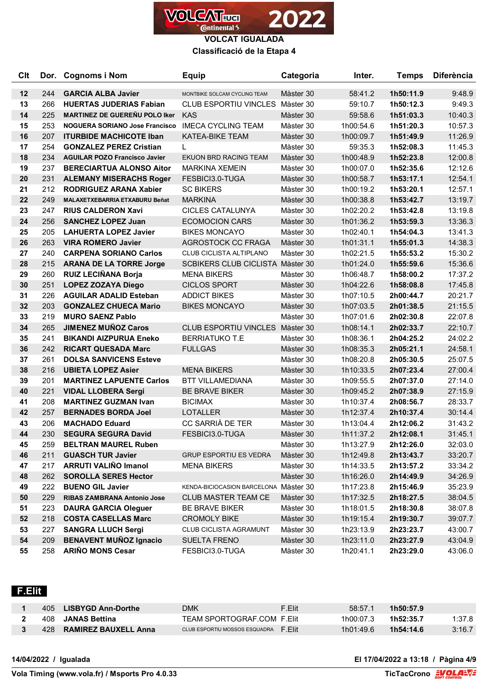

**Classificació de la Etapa 4**

| <b>Clt</b> |     | Dor. Cognoms i Nom                    | <b>Equip</b>                          | Categoria | Inter.    | <b>Temps</b> | <b>Diferència</b> |
|------------|-----|---------------------------------------|---------------------------------------|-----------|-----------|--------------|-------------------|
| 12         | 244 | <b>GARCIA ALBA Javier</b>             | MONTBIKE SOLCAM CYCLING TEAM          | Màster 30 | 58:41.2   | 1h50:11.9    | 9:48.9            |
| 13         | 266 | <b>HUERTAS JUDERIAS Fabian</b>        | CLUB ESPORTIU VINCLES Màster 30       |           | 59:10.7   | 1h50:12.3    | 9:49.3            |
| 14         | 225 | <b>MARTINEZ DE GUEREÑU POLO Iker</b>  | <b>KAS</b>                            | Màster 30 | 59:58.6   | 1h51:03.3    | 10:40.3           |
| 15         | 253 | NOGUERA SORIANO Jose Francisco        | <b>IMECA CYCLING TEAM</b>             | Màster 30 | 1h00:54.6 | 1h51:20.3    | 10:57.3           |
| 16         | 207 | <b>ITURBIDE MACHICOTE Iban</b>        | <b>KATEA-BIKE TEAM</b>                | Màster 30 | 1h00:09.7 | 1h51:49.9    | 11:26.9           |
| 17         | 254 | <b>GONZALEZ PEREZ Cristian</b>        |                                       | Màster 30 | 59:35.3   | 1h52:08.3    | 11:45.3           |
| 18         | 234 | <b>AGUILAR POZO Francisco Javier</b>  | EKUON BRD RACING TEAM                 | Màster 30 | 1h00:48.9 | 1h52:23.8    | 12:00.8           |
| 19         | 237 | <b>BERECIARTUA ALONSO Aitor</b>       | <b>MARKINA XEMEIN</b>                 | Màster 30 | 1h00:07.0 | 1h52:35.6    | 12:12.6           |
| 20         | 231 | <b>ALEMANY MISERACHS Roger</b>        | FESBICI3.0-TUGA                       | Màster 30 | 1h00:58.7 | 1h53:17.1    | 12:54.1           |
| 21         | 212 | <b>RODRIGUEZ ARANA Xabier</b>         | <b>SC BIKERS</b>                      | Màster 30 | 1h00:19.2 | 1h53:20.1    | 12:57.1           |
| 22         | 249 | <b>MALAXETXEBARRIA ETXABURU Beñat</b> | <b>MARKINA</b>                        | Màster 30 | 1h00:38.8 | 1h53:42.7    | 13:19.7           |
| 23         | 247 | <b>RIUS CALDERON Xavi</b>             | <b>CICLES CATALUNYA</b>               | Màster 30 | 1h02:20.2 | 1h53:42.8    | 13:19.8           |
| 24         | 256 | <b>SANCHEZ LOPEZ Juan</b>             | <b>ECOMOCION CARS</b>                 | Màster 30 | 1h01:36.2 | 1h53:59.3    | 13:36.3           |
| 25         | 205 | <b>LAHUERTA LOPEZ Javier</b>          | <b>BIKES MONCAYO</b>                  | Màster 30 | 1h02:40.1 | 1h54:04.3    | 13:41.3           |
| 26         | 263 | <b>VIRA ROMERO Javier</b>             | AGROSTOCK CC FRAGA                    | Màster 30 | 1h01:31.1 | 1h55:01.3    | 14:38.3           |
| 27         | 240 | <b>CARPENA SORIANO Carlos</b>         | CLUB CICLISTA ALTIPLANO               | Màster 30 | 1h02:21.5 | 1h55:53.2    | 15:30.2           |
| 28         | 215 | <b>ARANA DE LA TORRE Jorge</b>        | SCBIKERS CLUB CICLISTA Màster 30      |           | 1h01:24.0 | 1h55:59.6    | 15:36.6           |
| 29         | 260 | <b>RUIZ LECIÑANA Borja</b>            | <b>MENA BIKERS</b>                    | Màster 30 | 1h06:48.7 | 1h58:00.2    | 17:37.2           |
| 30         | 251 | <b>LOPEZ ZOZAYA Diego</b>             | <b>CICLOS SPORT</b>                   | Màster 30 | 1h04:22.6 | 1h58:08.8    | 17:45.8           |
| 31         | 226 | <b>AGUILAR ADALID Esteban</b>         | <b>ADDICT BIKES</b>                   | Màster 30 | 1h07:10.5 | 2h00:44.7    | 20:21.7           |
| 32         | 203 | <b>GONZALEZ CHUECA Mario</b>          | <b>BIKES MONCAYO</b>                  | Màster 30 | 1h07:03.5 | 2h01:38.5    | 21:15.5           |
| 33         | 219 | <b>MURO SAENZ Pablo</b>               |                                       | Màster 30 | 1h07:01.6 | 2h02:30.8    | 22:07.8           |
| 34         | 265 | <b>JIMENEZ MUÑOZ Caros</b>            | CLUB ESPORTIU VINCLES Màster 30       |           | 1h08:14.1 | 2h02:33.7    | 22:10.7           |
| 35         | 241 | <b>BIKANDI AIZPURUA Eneko</b>         | <b>BERRIATUKO T.E</b>                 | Màster 30 | 1h08:36.1 | 2h04:25.2    | 24:02.2           |
| 36         | 242 | <b>RICART QUESADA Marc</b>            | <b>FULLGAS</b>                        | Màster 30 | 1h08:35.3 | 2h05:21.1    | 24:58.1           |
| 37         | 261 | <b>DOLSA SANVICENS Esteve</b>         |                                       | Màster 30 | 1h08:20.8 | 2h05:30.5    | 25:07.5           |
| 38         | 216 | <b>UBIETA LOPEZ Asier</b>             | <b>MENA BIKERS</b>                    | Màster 30 | 1h10:33.5 | 2h07:23.4    | 27:00.4           |
| 39         | 201 | <b>MARTINEZ LAPUENTE Carlos</b>       | <b>BTT VILLAMEDIANA</b>               | Màster 30 | 1h09:55.5 | 2h07:37.0    | 27:14.0           |
| 40         | 221 | <b>VIDAL LLOBERA Sergi</b>            | <b>BE BRAVE BIKER</b>                 | Màster 30 | 1h09:45.2 | 2h07:38.9    | 27:15.9           |
| 41         | 208 | <b>MARTINEZ GUZMAN Ivan</b>           | <b>BICIMAX</b>                        | Màster 30 | 1h10:37.4 | 2h08:56.7    | 28:33.7           |
| 42         | 257 | <b>BERNADES BORDA Joel</b>            | <b>LOTALLER</b>                       | Màster 30 | 1h12:37.4 | 2h10:37.4    | 30:14.4           |
| 43         | 206 | <b>MACHADO Eduard</b>                 | CC SARRIÀ DE TER                      | Màster 30 | 1h13:04.4 | 2h12:06.2    | 31:43.2           |
| 44         | 230 | <b>SEGURA SEGURA David</b>            | FESBICI3.0-TUGA                       | Màster 30 | 1h11:37.2 | 2h12:08.1    | 31:45.1           |
| 45         | 259 | <b>BELTRAN MAUREL Ruben</b>           |                                       | Màster 30 | 1h13:27.9 | 2h12:26.0    | 32:03.0           |
| 46         | 211 | <b>GUASCH TUR Javier</b>              | <b>GRUP ESPORTIU ES VEDRA</b>         | Màster 30 | 1h12:49.8 | 2h13:43.7    | 33:20.7           |
| 47         | 217 | <b>ARRUTI VALIÑO Imanol</b>           | <b>MENA BIKERS</b>                    | Màster 30 | 1h14:33.5 | 2h13:57.2    | 33:34.2           |
| 48         | 262 | <b>SOROLLA SERES Hector</b>           |                                       | Màster 30 | 1h16:26.0 | 2h14:49.9    | 34:26.9           |
| 49         | 222 | <b>BUENO GIL Javier</b>               | KENDA-BICIOCASION BARCELONA Màster 30 |           | 1h17:23.8 | 2h15:46.9    | 35:23.9           |
| 50         | 229 | RIBAS ZAMBRANA Antonio Jose           | CLUB MASTER TEAM CE                   | Màster 30 | 1h17:32.5 | 2h18:27.5    | 38:04.5           |
| 51         | 223 | <b>DAURA GARCIA Oleguer</b>           | BE BRAVE BIKER                        | Màster 30 | 1h18:01.5 | 2h18:30.8    | 38:07.8           |
| 52         | 218 | <b>COSTA CASELLAS Marc</b>            | <b>CROMOLY BIKE</b>                   | Màster 30 | 1h19:15.4 | 2h19:30.7    | 39:07.7           |
| 53         | 227 | <b>SANGRA LLUCH Sergi</b>             | CLUB CICLISTA AGRAMUNT                | Màster 30 | 1h23:13.9 | 2h23:23.7    | 43:00.7           |
| 54         | 209 | <b>BENAVENT MUÑOZ Ignacio</b>         | <b>SUELTA FRENO</b>                   | Màster 30 | 1h23:11.0 | 2h23:27.9    | 43:04.9           |
| 55         | 258 | <b>ARIÑO MONS Cesar</b>               | FESBICI3.0-TUGA                       | Màster 30 | 1h20:41.1 | 2h23:29.0    | 43:06.0           |

# **F.Elit**

| 405. | <b>LISBYGD Ann-Dorthe</b> | <b>DMK</b>                            | F.Elit | 58:57.1   | 1h50:57.9 |        |
|------|---------------------------|---------------------------------------|--------|-----------|-----------|--------|
| 408  | JANAS Bettina             | TEAM SPORTOGRAF.COM F.Elit            |        | 1h00:07.3 | 1h52:35.7 | 1:37.8 |
| 428. | RAMIREZ BAUXELL Anna      | CLUB ESPORTIU MOSSOS ESQUADRA F. FIIT |        | 1h01:49.6 | 1h54:14.6 | 3:16.7 |

**14/04/2022 / Igualada El 17/04/2022 a 13:18 / Pàgina 4/9**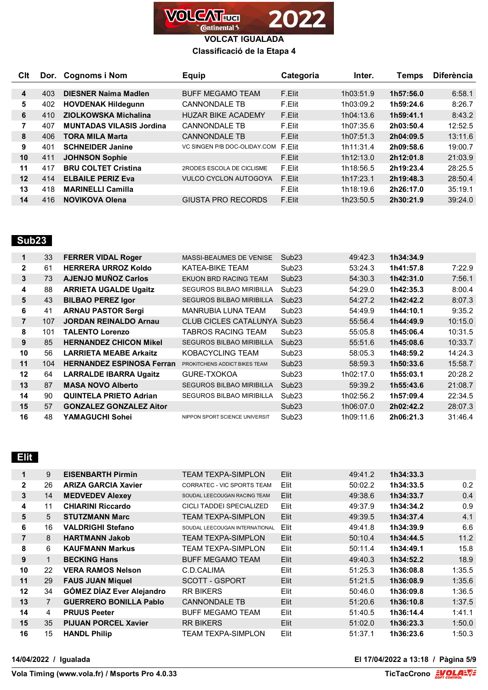

### **Classificació de la Etapa 4**

| Clt                     |     | Dor. Cognoms i Nom              | <b>Equip</b>                 | Categoria | Inter.    | Temps     | <b>Diferència</b> |
|-------------------------|-----|---------------------------------|------------------------------|-----------|-----------|-----------|-------------------|
|                         |     |                                 |                              |           |           |           |                   |
| $\overline{\mathbf{4}}$ | 403 | <b>DIESNER Naima Madlen</b>     | <b>BUFF MEGAMO TEAM</b>      | F.Elit    | 1h03:51.9 | 1h57:56.0 | 6:58.1            |
| 5                       | 402 | <b>HOVDENAK Hildegunn</b>       | <b>CANNONDALE TB</b>         | F.Elit    | 1h03:09.2 | 1h59:24.6 | 8:26.7            |
| 6                       | 410 | ZIOLKOWSKA Michalina            | <b>HUZAR BIKE ACADEMY</b>    | F.Elit    | 1h04:13.6 | 1h59:41.1 | 8:43.2            |
| 7                       | 407 | <b>MUNTADAS VILASIS Jordina</b> | <b>CANNONDALE TB</b>         | F.Elit    | 1h07:35.6 | 2h03:50.4 | 12:52.5           |
| 8                       | 406 | <b>TORA MILA Marta</b>          | <b>CANNONDALE TB</b>         | F.Elit    | 1h07:51.3 | 2h04:09.5 | 13:11.6           |
| 9                       | 401 | <b>SCHNEIDER Janine</b>         | VC SINGEN P/B DOC-OLIDAY.COM | F.Elit    | 1h11:31.4 | 2h09:58.6 | 19:00.7           |
| 10                      | 411 | <b>JOHNSON Sophie</b>           |                              | F.Elit    | 1h12:13.0 | 2h12:01.8 | 21:03.9           |
| 11                      | 417 | <b>BRU COLTET Cristina</b>      | 2RODES ESCOLA DE CICLISME    | F.Elit    | 1h18:56.5 | 2h19:23.4 | 28:25.5           |
| 12                      | 414 | <b>ELBAILE PERIZ Eva</b>        | <b>VULCO CYCLON AUTOGOYA</b> | F.Elit    | 1h17:23.1 | 2h19:48.3 | 28:50.4           |
| 13                      | 418 | <b>MARINELLI Camilla</b>        |                              | F.Elit    | 1h18:19.6 | 2h26:17.0 | 35:19.1           |
| 14                      | 416 | <b>NOVIKOVA Olena</b>           | GIUSTA PRO RECORDS           | F.Elit    | 1h23:50.5 | 2h30:21.9 | 39:24.0           |

## **Sub23**

| 1              | 33  | <b>FERRER VIDAL Roger</b>        | <b>MASSI-BEAUMES DE VENISE</b>  | Sub <sub>23</sub> | 49:42.3   | 1h34:34.9 |         |
|----------------|-----|----------------------------------|---------------------------------|-------------------|-----------|-----------|---------|
| $\mathbf{2}$   | 61  | <b>HERRERA URROZ Koldo</b>       | KATEA-BIKE TEAM                 | Sub <sub>23</sub> | 53:24.3   | 1h41:57.8 | 7:22.9  |
| 3              | 73  | <b>AJENJO MUNOZ Carlos</b>       | EKUON BRD RACING TEAM           | Sub <sub>23</sub> | 54:30.3   | 1h42:31.0 | 7:56.1  |
| 4              | 88  | <b>ARRIETA UGALDE Ugaitz</b>     | <b>SEGUROS BILBAO MIRIBILLA</b> | Sub <sub>23</sub> | 54:29.0   | 1h42:35.3 | 8:00.4  |
| 5              | 43  | <b>BILBAO PEREZ Igor</b>         | <b>SEGUROS BILBAO MIRIBILLA</b> | Sub <sub>23</sub> | 54:27.2   | 1h42:42.2 | 8:07.3  |
| 6              | 41  | <b>ARNAU PASTOR Sergi</b>        | <b>MANRUBIA LUNA TEAM</b>       | Sub <sub>23</sub> | 54:49.9   | 1h44:10.1 | 9:35.2  |
| $\overline{7}$ | 107 | <b>JORDAN REINALDO Arnau</b>     | <b>CLUB CICLES CATALUNYA</b>    | Sub <sub>23</sub> | 55:56.4   | 1h44:49.9 | 10:15.0 |
| 8              | 101 | <b>TALENTO Lorenzo</b>           | TABROS RACING TEAM              | Sub <sub>23</sub> | 55:05.8   | 1h45:06.4 | 10:31.5 |
| 9              | 85  | <b>HERNANDEZ CHICON Mikel</b>    | <b>SEGUROS BILBAO MIRIBILLA</b> | Sub <sub>23</sub> | 55:51.6   | 1h45:08.6 | 10:33.7 |
| 10             | 56  | <b>LARRIETA MEABE Arkaitz</b>    | KOBACYCLING TEAM                | Sub <sub>23</sub> | 58:05.3   | 1h48:59.2 | 14:24.3 |
| 11             | 104 | <b>HERNANDEZ ESPINOSA Ferran</b> | PROKITCHENS ADDICT BIKES TEAM   | Sub <sub>23</sub> | 58:59.3   | 1h50:33.6 | 15:58.7 |
| 12             | 64  | <b>LARRALDE IBARRA Ugaitz</b>    | GURE-TXOKOA                     | Sub <sub>23</sub> | 1h02:17.0 | 1h55:03.1 | 20:28.2 |
| 13             | 87  | <b>MASA NOVO Alberto</b>         | <b>SEGUROS BILBAO MIRIBILLA</b> | Sub <sub>23</sub> | 59:39.2   | 1h55:43.6 | 21:08.7 |
| 14             | 90  | <b>QUINTELA PRIETO Adrian</b>    | <b>SEGUROS BILBAO MIRIBILLA</b> | Sub <sub>23</sub> | 1h02:56.2 | 1h57:09.4 | 22:34.5 |
| 15             | 57  | <b>GONZALEZ GONZALEZ Aitor</b>   |                                 | Sub <sub>23</sub> | 1h06:07.0 | 2h02:42.2 | 28:07.3 |
| 16             | 48  | YAMAGUCHI Sohei                  | NIPPON SPORT SCIENCE UNIVERSIT  | Sub <sub>23</sub> | 1h09:11.6 | 2h06:21.3 | 31:46.4 |

# **Elit**

| 1            | 9  | <b>EISENBARTH Pirmin</b>         | TEAM TEXPA-SIMPLON             | Elit | 49:41.2 | 1h34:33.3 |        |
|--------------|----|----------------------------------|--------------------------------|------|---------|-----------|--------|
| $\mathbf{2}$ | 26 | <b>ARIZA GARCIA Xavier</b>       | CORRATEC - VIC SPORTS TEAM     | Elit | 50:02.2 | 1h34:33.5 | 0.2    |
| 3            | 14 | <b>MEDVEDEV Alexey</b>           | SOUDAL LEECOUGAN RACING TEAM   | Elit | 49:38.6 | 1h34:33.7 | 0.4    |
| 4            | 11 | <b>CHIARINI Riccardo</b>         | CICLI TADDEI SPECIALIZED       | Elit | 49:37.9 | 1h34:34.2 | 0.9    |
| 5            | 5  | <b>STUTZMANN Marc</b>            | <b>TEAM TEXPA-SIMPLON</b>      | Elit | 49:39.5 | 1h34:37.4 | 4.1    |
| 6            | 16 | <b>VALDRIGHI Stefano</b>         | SOUDAL LEECOUGAN INTERNATIONAL | Elit | 49:41.8 | 1h34:39.9 | 6.6    |
| 7            | 8  | <b>HARTMANN Jakob</b>            | TEAM TEXPA-SIMPLON             | Elit | 50:10.4 | 1h34:44.5 | 11.2   |
| 8            | 6  | <b>KAUFMANN Markus</b>           | TEAM TEXPA-SIMPLON             | Elit | 50:11.4 | 1h34:49.1 | 15.8   |
| 9            |    | <b>BECKING Hans</b>              | <b>BUFF MEGAMO TEAM</b>        | Elit | 49:40.3 | 1h34:52.2 | 18.9   |
| 10           | 22 | <b>VERA RAMOS Nelson</b>         | C.D.CALIMA                     | Elit | 51:25.3 | 1h36:08.8 | 1:35.5 |
| 11           | 29 | <b>FAUS JUAN Miquel</b>          | SCOTT - GSPORT                 | Elit | 51:21.5 | 1h36:08.9 | 1:35.6 |
| 12           | 34 | <b>GÓMEZ DÍAZ Ever Alejandro</b> | <b>RR BIKERS</b>               | Elit | 50:46.0 | 1h36:09.8 | 1:36.5 |
| 13           |    | <b>GUERRERO BONILLA Pablo</b>    | <b>CANNONDALE TB</b>           | Elit | 51:20.6 | 1h36:10.8 | 1:37.5 |
| 14           | 4  | <b>PRUUS Peeter</b>              | <b>BUFF MEGAMO TEAM</b>        | Elit | 51:40.5 | 1h36:14.4 | 1:41.1 |
| 15           | 35 | <b>PIJUAN PORCEL Xavier</b>      | <b>RR BIKERS</b>               | Elit | 51:02.0 | 1h36:23.3 | 1:50.0 |
| 16           | 15 | <b>HANDL Philip</b>              | TEAM TEXPA-SIMPLON             | Elit | 51:37.1 | 1h36:23.6 | 1:50.3 |

**14/04/2022 / Igualada El 17/04/2022 a 13:18 / Pàgina 5/9**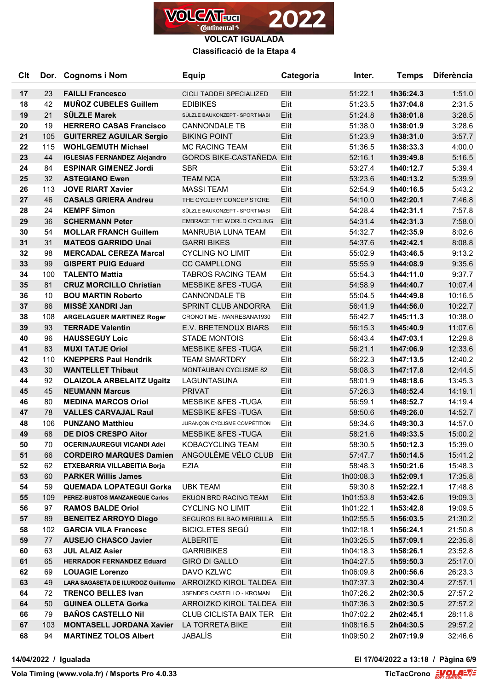

**Classificació de la Etapa 4**

| Clt |     | Dor. Cognoms i Nom                  | <b>Equip</b>                     | Categoria | Inter.    | <b>Temps</b> | <b>Diferència</b> |
|-----|-----|-------------------------------------|----------------------------------|-----------|-----------|--------------|-------------------|
| 17  | 23  | <b>FAILLI Francesco</b>             | CICLI TADDEI SPECIALIZED         | Elit      | 51:22.1   | 1h36:24.3    | 1:51.0            |
| 18  | 42  | <b>MUÑOZ CUBELES Guillem</b>        | <b>EDIBIKES</b>                  | Elit      | 51:23.5   | 1h37:04.8    | 2:31.5            |
| 19  | 21  | <b>SÜLZLE Marek</b>                 | SÜLZLE BAUKONZEPT - SPORT MABI   | Elit      | 51:24.8   | 1h38:01.8    | 3:28.5            |
| 20  | 19  | <b>HERRERO CASAS Francisco</b>      | <b>CANNONDALE TB</b>             | Elit      | 51:38.0   | 1h38:01.9    | 3:28.6            |
| 21  | 105 | <b>GUITERREZ AGUILAR Sergio</b>     | <b>BIKING POINT</b>              | Elit      | 51:23.9   | 1h38:31.0    | 3:57.7            |
| 22  | 115 | <b>WOHLGEMUTH Michael</b>           | <b>MC RACING TEAM</b>            | Elit      | 51:36.5   | 1h38:33.3    | 4:00.0            |
| 23  | 44  | <b>IGLESIAS FERNANDEZ Alejandro</b> | <b>GOROS BIKE-CASTAÑEDA Elit</b> |           | 52:16.1   | 1h39:49.8    | 5:16.5            |
| 24  | 84  | <b>ESPINAR GIMENEZ Jordi</b>        | <b>SBR</b>                       | Elit      | 53:27.4   | 1h40:12.7    | 5:39.4            |
| 25  | 32  | <b>ASTEGIANO Ewen</b>               | <b>TEAM NCA</b>                  | Elit      | 53:23.6   | 1h40:13.2    | 5:39.9            |
| 26  | 113 | <b>JOVE RIART Xavier</b>            | <b>MASSI TEAM</b>                | Elit      | 52:54.9   | 1h40:16.5    | 5:43.2            |
| 27  | 46  | <b>CASALS GRIERA Andreu</b>         | THE CYCLERY CONCEP STORE         | Elit      | 54:10.0   | 1h42:20.1    | 7:46.8            |
| 28  | 24  | <b>KEMPF Simon</b>                  | SÜLZLE BAUKONZEPT - SPORT MABI   | Elit      | 54:28.4   | 1h42:31.1    | 7:57.8            |
| 29  | 36  | <b>SCHERMANN Peter</b>              | <b>EMBRACE THE WORLD CYCLING</b> | Elit      | 54:31.4   | 1h42:31.3    | 7:58.0            |
| 30  | 54  | <b>MOLLAR FRANCH Guillem</b>        | <b>MANRUBIA LUNA TEAM</b>        | Elit      | 54:32.7   | 1h42:35.9    | 8:02.6            |
| 31  | 31  | <b>MATEOS GARRIDO Unai</b>          | <b>GARRI BIKES</b>               | Elit      | 54:37.6   | 1h42:42.1    | 8:08.8            |
| 32  | 98  | <b>MERCADAL CEREZA Marcal</b>       | <b>CYCLING NO LIMIT</b>          | Elit      | 55:02.9   | 1h43:46.5    | 9:13.2            |
| 33  | 99  | <b>GISPERT PUIG Eduard</b>          | <b>CC CAMPLLONG</b>              | Elit      | 55:55.9   | 1h44:08.9    | 9:35.6            |
| 34  | 100 | <b>TALENTO Mattia</b>               | <b>TABROS RACING TEAM</b>        | Elit      | 55:54.3   | 1h44:11.0    | 9:37.7            |
| 35  | 81  | <b>CRUZ MORCILLO Christian</b>      | <b>MESBIKE &amp;FES-TUGA</b>     | Elit      | 54:58.9   | 1h44:40.7    | 10:07.4           |
| 36  | 10  | <b>BOU MARTIN Roberto</b>           | <b>CANNONDALE TB</b>             | Elit      | 55:04.5   | 1h44:49.8    | 10:16.5           |
| 37  | 86  | MISSÉ XANDRI Jan                    | SPRINT CLUB ANDORRA              | Elit      | 56:41.9   | 1h44:56.0    | 10:22.7           |
| 38  | 108 | <b>ARGELAGUER MARTINEZ Roger</b>    | CRONOTIME - MANRESANA1930        | Elit      | 56:42.7   | 1h45:11.3    | 10:38.0           |
| 39  | 93  | <b>TERRADE Valentin</b>             | E.V. BRETENOUX BIARS             | Elit      | 56:15.3   | 1h45:40.9    | 11:07.6           |
| 40  | 96  | <b>HAUSSEGUY Loic</b>               | <b>STADE MONTOIS</b>             | Elit      | 56:43.4   | 1h47:03.1    | 12:29.8           |
| 41  | 83  | <b>MUXI TATJE Oriol</b>             | <b>MESBIKE &amp;FES-TUGA</b>     | Elit      | 56:21.1   | 1h47:06.9    | 12:33.6           |
| 42  | 110 | <b>KNEPPERS Paul Hendrik</b>        | <b>TEAM SMARTDRY</b>             | Elit      | 56:22.3   | 1h47:13.5    | 12:40.2           |
| 43  | 30  | <b>WANTELLET Thibaut</b>            | <b>MONTAUBAN CYCLISME 82</b>     | Elit      | 58:08.3   | 1h47:17.8    | 12:44.5           |
| 44  | 92  | <b>OLAIZOLA ARBELAITZ Ugaitz</b>    | LAGUNTASUNA                      | Elit      | 58:01.9   | 1h48:18.6    | 13:45.3           |
| 45  | 45  | <b>NEUMANN Marcus</b>               | <b>PRIVAT</b>                    | Elit      | 57:26.3   | 1h48:52.4    | 14:19.1           |
| 46  | 80  | <b>MEDINA MARCOS Oriol</b>          | <b>MESBIKE &amp;FES-TUGA</b>     | Elit      | 56:59.1   | 1h48:52.7    | 14:19.4           |
| 47  | 78  | <b>VALLES CARVAJAL Raul</b>         | <b>MESBIKE &amp;FES-TUGA</b>     | Elit      | 58:50.6   | 1h49:26.0    | 14:52.7           |
| 48  | 106 | <b>PUNZANO Matthieu</b>             | JURANÇON CYCLISME COMPÉTITION    | Elit      | 58:34.6   | 1h49:30.3    | 14:57.0           |
| 49  | 68  | <b>DE DIOS CRESPO Aitor</b>         | <b>MESBIKE &amp;FES-TUGA</b>     | Elit      | 58:21.6   | 1h49:33.5    | 15:00.2           |
| 50  | 70  | <b>OCERINJAUREGUI VICANDI Adei</b>  | KOBACYCLING TEAM                 | Elit      | 58:30.5   | 1h50:12.3    | 15:39.0           |
| 51  | 66  | <b>CORDEIRO MARQUES Damien</b>      | ANGOULÊME VÉLO CLUB              | Elit      | 57:47.7   | 1h50:14.5    | 15:41.2           |
| 52  | 62  | ETXEBARRIA VILLABEITIA Borja        | EZIA                             | Elit      | 58:48.3   | 1h50:21.6    | 15:48.3           |
| 53  | 60  | <b>PARKER Willis James</b>          |                                  | Elit      | 1h00:08.3 | 1h52:09.1    | 17:35.8           |
| 54  | 59  | <b>QUEMADA LOPATEGUI Gorka</b>      | <b>UBK TEAM</b>                  | Elit      | 59:30.8   | 1h52:22.1    | 17:48.8           |
| 55  | 109 | PEREZ-BUSTOS MANZANEQUE Carlos      | EKUON BRD RACING TEAM            | Elit      | 1h01:53.8 | 1h53:42.6    | 19:09.3           |
| 56  | 97  | <b>RAMOS BALDE Oriol</b>            | <b>CYCLING NO LIMIT</b>          | Elit      | 1h01:22.1 | 1h53:42.8    | 19:09.5           |
| 57  | 89  | <b>BENEITEZ ARROYO Diego</b>        | <b>SEGUROS BILBAO MIRIBILLA</b>  | Elit      | 1h02:55.5 | 1h56:03.5    | 21:30.2           |
| 58  | 102 | <b>GARCIA VILA Francesc</b>         | <b>BICICLETES SEGÚ</b>           | Elit      | 1h02:18.1 | 1h56:24.1    | 21:50.8           |
| 59  | 77  | <b>AUSEJO CHASCO Javier</b>         | <b>ALBERITE</b>                  | Elit      | 1h03:25.5 | 1h57:09.1    | 22:35.8           |
| 60  | 63  | <b>JUL ALAIZ Asier</b>              | <b>GARRIBIKES</b>                | Elit      | 1h04:18.3 | 1h58:26.1    | 23:52.8           |
| 61  | 65  | <b>HERRADOR FERNANDEZ Eduard</b>    | <b>GIRO DI GALLO</b>             | Elit      | 1h04:27.5 | 1h59:50.3    | 25:17.0           |
| 62  | 69  | <b>LOUAGIE Lorenzo</b>              | DAVO KZLWC                       | Elit      | 1h06:09.8 | 2h00:56.6    | 26:23.3           |
| 63  | 49  | LARA SAGASETA DE ILURDOZ Guillermo  | ARROIZKO KIROL TALDEA Elit       |           | 1h07:37.3 | 2h02:30.4    | 27:57.1           |
| 64  | 72  | <b>TRENCO BELLES Ivan</b>           | 3SENDES CASTELLO - KROMAN        | Elit      | 1h07:26.2 | 2h02:30.5    | 27:57.2           |
| 64  | 50  | <b>GUINEA OLLETA Gorka</b>          | ARROIZKO KIROL TALDEA Elit       |           | 1h07:36.3 | 2h02:30.5    | 27:57.2           |
| 66  | 79  | <b>BAÑOS CASTELLO Nil</b>           | <b>CLUB CICLISTA BAIX TER</b>    | Elit      | 1h07:02.2 | 2h02:45.1    | 28:11.8           |
| 67  | 103 | <b>MONTASELL JORDANA Xavier</b>     | LA TORRETA BIKE                  | Elit      | 1h08:16.5 | 2h04:30.5    | 29:57.2           |
| 68  | 94  | <b>MARTINEZ TOLOS Albert</b>        | JABALÍS                          | Elit      | 1h09:50.2 | 2h07:19.9    | 32:46.6           |

**14/04/2022 / Igualada El 17/04/2022 a 13:18 / Pàgina 6/9**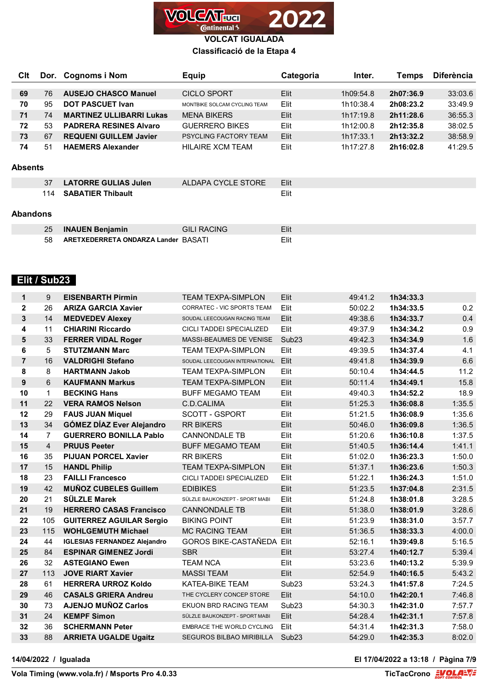

### **Classificació de la Etapa 4**

| CIt            |     | Dor. Cognoms i Nom              | <b>Equip</b>                 | Categoria | Inter.    | Temps     | <b>Diferència</b> |
|----------------|-----|---------------------------------|------------------------------|-----------|-----------|-----------|-------------------|
|                |     |                                 |                              |           |           |           |                   |
| 69             | 76  | <b>AUSEJO CHASCO Manuel</b>     | CICLO SPORT                  | Elit      | 1h09:54.8 | 2h07:36.9 | 33:03.6           |
| 70             | 95  | <b>DOT PASCUET Ivan</b>         | MONTBIKE SOLCAM CYCLING TEAM | Elit      | 1h10:38.4 | 2h08:23.2 | 33:49.9           |
| 71             | 74  | <b>MARTINEZ ULLIBARRI Lukas</b> | <b>MENA BIKERS</b>           | Elit      | 1h17:19.8 | 2h11:28.6 | 36:55.3           |
| 72             | 53  | <b>PADRERA RESINES Alvaro</b>   | <b>GUERRERO BIKES</b>        | Elit      | 1h12:00.8 | 2h12:35.8 | 38:02.5           |
| 73             | 67  | <b>REQUENI GUILLEM Javier</b>   | <b>PSYCLING FACTORY TEAM</b> | Elit      | 1h17:33.1 | 2h13:32.2 | 38:58.9           |
| 74             | 51  | <b>HAEMERS Alexander</b>        | HII AIRF XCM TFAM            | Elit      | 1h17:27.8 | 2h16:02.8 | 41:29.5           |
|                |     |                                 |                              |           |           |           |                   |
| <b>Absents</b> |     |                                 |                              |           |           |           |                   |
|                | 37  | <b>LATORRE GULIAS Julen</b>     | ALDAPA CYCLE STORE           | Elit      |           |           |                   |
|                | 114 | <b>SABATIER Thibault</b>        |                              | Elit      |           |           |                   |
|                |     |                                 |                              |           |           |           |                   |

#### **Abandons**

|     | <b>INAUEN Benjamin</b>              | <b>GILI RACING</b> | Elit |
|-----|-------------------------------------|--------------------|------|
| 58. | ARETXEDERRETA ONDARZA Lander BASATI |                    | Elit |

## **Elit / Sub23**

| $\mathbf 1$    | 9              | <b>EISENBARTH Pirmin</b>            | <b>TEAM TEXPA-SIMPLON</b>        | Elit              | 49:41.2 | 1h34:33.3 |        |
|----------------|----------------|-------------------------------------|----------------------------------|-------------------|---------|-----------|--------|
| $\mathbf{2}$   | 26             | <b>ARIZA GARCIA Xavier</b>          | CORRATEC - VIC SPORTS TEAM       | Elit              | 50:02.2 | 1h34:33.5 | 0.2    |
| 3              | 14             | <b>MEDVEDEV Alexey</b>              | SOUDAL LEECOUGAN RACING TEAM     | Elit              | 49:38.6 | 1h34:33.7 | 0.4    |
| 4              | 11             | <b>CHIARINI Riccardo</b>            | CICLI TADDEI SPECIALIZED         | Elit              | 49:37.9 | 1h34:34.2 | 0.9    |
| 5              | 33             | <b>FERRER VIDAL Roger</b>           | MASSI-BEAUMES DE VENISE          | Sub <sub>23</sub> | 49:42.3 | 1h34:34.9 | 1.6    |
| 6              | 5              | <b>STUTZMANN Marc</b>               | <b>TEAM TEXPA-SIMPLON</b>        | Elit              | 49:39.5 | 1h34:37.4 | 4.1    |
| $\overline{7}$ | 16             | <b>VALDRIGHI Stefano</b>            | SOUDAL LEECOUGAN INTERNATIONAL   | Elit              | 49:41.8 | 1h34:39.9 | 6.6    |
| 8              | 8              | <b>HARTMANN Jakob</b>               | <b>TEAM TEXPA-SIMPLON</b>        | Elit              | 50:10.4 | 1h34:44.5 | 11.2   |
| 9              | 6              | <b>KAUFMANN Markus</b>              | <b>TEAM TEXPA-SIMPLON</b>        | Elit              | 50:11.4 | 1h34:49.1 | 15.8   |
| 10             | $\mathbf{1}$   | <b>BECKING Hans</b>                 | <b>BUFF MEGAMO TEAM</b>          | Elit              | 49:40.3 | 1h34:52.2 | 18.9   |
| 11             | 22             | <b>VERA RAMOS Nelson</b>            | C.D.CALIMA                       | Elit              | 51:25.3 | 1h36:08.8 | 1:35.5 |
| 12             | 29             | <b>FAUS JUAN Miquel</b>             | <b>SCOTT - GSPORT</b>            | Elit              | 51:21.5 | 1h36:08.9 | 1:35.6 |
| 13             | 34             | <b>GÓMEZ DÍAZ Ever Alejandro</b>    | <b>RR BIKERS</b>                 | Elit              | 50:46.0 | 1h36:09.8 | 1:36.5 |
| 14             | $\overline{7}$ | <b>GUERRERO BONILLA Pablo</b>       | <b>CANNONDALE TB</b>             | Elit              | 51:20.6 | 1h36:10.8 | 1:37.5 |
| 15             | $\overline{4}$ | <b>PRUUS Peeter</b>                 | <b>BUFF MEGAMO TEAM</b>          | Elit              | 51:40.5 | 1h36:14.4 | 1:41.1 |
| 16             | 35             | <b>PIJUAN PORCEL Xavier</b>         | <b>RR BIKERS</b>                 | Elit              | 51:02.0 | 1h36:23.3 | 1:50.0 |
| 17             | 15             | <b>HANDL Philip</b>                 | <b>TEAM TEXPA-SIMPLON</b>        | Elit              | 51:37.1 | 1h36:23.6 | 1:50.3 |
| 18             | 23             | <b>FAILLI Francesco</b>             | CICLI TADDEI SPECIALIZED         | Elit              | 51:22.1 | 1h36:24.3 | 1:51.0 |
| 19             | 42             | <b>MUÑOZ CUBELES Guillem</b>        | <b>EDIBIKES</b>                  | Elit              | 51:23.5 | 1h37:04.8 | 2:31.5 |
| 20             | 21             | <b>SÜLZLE Marek</b>                 | SÜLZLE BAUKONZEPT - SPORT MABI   | Elit              | 51:24.8 | 1h38:01.8 | 3:28.5 |
| 21             | 19             | <b>HERRERO CASAS Francisco</b>      | <b>CANNONDALE TB</b>             | Elit              | 51:38.0 | 1h38:01.9 | 3:28.6 |
| 22             | 105            | <b>GUITERREZ AGUILAR Sergio</b>     | <b>BIKING POINT</b>              | Elit              | 51:23.9 | 1h38:31.0 | 3:57.7 |
| 23             | 115            | <b>WOHLGEMUTH Michael</b>           | <b>MC RACING TEAM</b>            | Elit              | 51:36.5 | 1h38:33.3 | 4:00.0 |
| 24             | 44             | <b>IGLESIAS FERNANDEZ Alejandro</b> | <b>GOROS BIKE-CASTAÑEDA Elit</b> |                   | 52:16.1 | 1h39:49.8 | 5:16.5 |
| 25             | 84             | <b>ESPINAR GIMENEZ Jordi</b>        | <b>SBR</b>                       | Elit              | 53:27.4 | 1h40:12.7 | 5:39.4 |
| 26             | 32             | <b>ASTEGIANO Ewen</b>               | <b>TEAM NCA</b>                  | Elit              | 53:23.6 | 1h40:13.2 | 5:39.9 |
| 27             | 113            | <b>JOVE RIART Xavier</b>            | <b>MASSI TEAM</b>                | Elit              | 52:54.9 | 1h40:16.5 | 5:43.2 |
| 28             | 61             | <b>HERRERA URROZ Koldo</b>          | <b>KATEA-BIKE TEAM</b>           | Sub <sub>23</sub> | 53:24.3 | 1h41:57.8 | 7:24.5 |
| 29             | 46             | <b>CASALS GRIERA Andreu</b>         | THE CYCLERY CONCEP STORE         | Elit              | 54:10.0 | 1h42:20.1 | 7:46.8 |
| 30             | 73             | <b>AJENJO MUÑOZ Carlos</b>          | EKUON BRD RACING TEAM            | Sub <sub>23</sub> | 54:30.3 | 1h42:31.0 | 7:57.7 |
| 31             | 24             | <b>KEMPF Simon</b>                  | SÜLZLE BAUKONZEPT - SPORT MABI   | Elit              | 54:28.4 | 1h42:31.1 | 7:57.8 |
| 32             | 36             | <b>SCHERMANN Peter</b>              | <b>EMBRACE THE WORLD CYCLING</b> | Elit              | 54:31.4 | 1h42:31.3 | 7:58.0 |
| 33             | 88             | <b>ARRIETA UGALDE Ugaitz</b>        | <b>SEGUROS BILBAO MIRIBILLA</b>  | Sub <sub>23</sub> | 54:29.0 | 1h42:35.3 | 8:02.0 |

**14/04/2022 / Igualada El 17/04/2022 a 13:18 / Pàgina 7/9**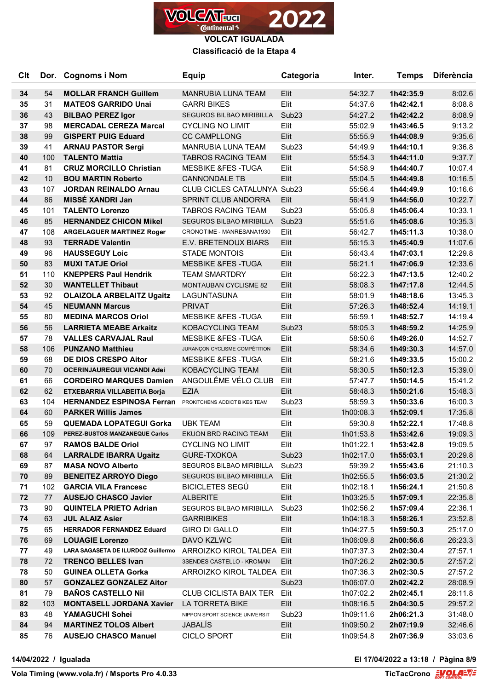

**Classificació de la Etapa 4**

| <b>Clt</b> |     | Dor. Cognoms i Nom                                               | <b>Equip</b>                                         | Categoria         | Inter.             | <b>Temps</b>           | <b>Diferència</b> |
|------------|-----|------------------------------------------------------------------|------------------------------------------------------|-------------------|--------------------|------------------------|-------------------|
|            | 54  |                                                                  | <b>MANRUBIA LUNA TEAM</b>                            |                   |                    |                        |                   |
| 34<br>35   | 31  | <b>MOLLAR FRANCH Guillem</b><br><b>MATEOS GARRIDO Unai</b>       | <b>GARRI BIKES</b>                                   | Elit<br>Elit      | 54:32.7<br>54:37.6 | 1h42:35.9<br>1h42:42.1 | 8:02.6<br>8:08.8  |
| 36         | 43  | <b>BILBAO PEREZ Igor</b>                                         | <b>SEGUROS BILBAO MIRIBILLA</b>                      | Sub <sub>23</sub> | 54:27.2            | 1h42:42.2              | 8:08.9            |
| 37         | 98  | <b>MERCADAL CEREZA Marcal</b>                                    | <b>CYCLING NO LIMIT</b>                              | Elit              | 55:02.9            | 1h43:46.5              | 9:13.2            |
| 38         | 99  | <b>GISPERT PUIG Eduard</b>                                       | <b>CC CAMPLLONG</b>                                  | Elit              | 55:55.9            | 1h44:08.9              | 9:35.6            |
| 39         | 41  | <b>ARNAU PASTOR Sergi</b>                                        | MANRUBIA LUNA TEAM                                   | Sub <sub>23</sub> | 54:49.9            | 1h44:10.1              | 9:36.8            |
| 40         | 100 | <b>TALENTO Mattia</b>                                            | <b>TABROS RACING TEAM</b>                            | Elit              | 55:54.3            | 1h44:11.0              | 9:37.7            |
| 41         | 81  | <b>CRUZ MORCILLO Christian</b>                                   | <b>MESBIKE &amp;FES-TUGA</b>                         | Elit              | 54:58.9            | 1h44:40.7              | 10:07.4           |
| 42         | 10  | <b>BOU MARTIN Roberto</b>                                        | <b>CANNONDALE TB</b>                                 | Elit              | 55:04.5            | 1h44:49.8              | 10:16.5           |
| 43         | 107 | <b>JORDAN REINALDO Arnau</b>                                     | <b>CLUB CICLES CATALUNYA Sub23</b>                   |                   | 55:56.4            | 1h44:49.9              | 10:16.6           |
| 44         | 86  | <b>MISSÉ XANDRI Jan</b>                                          | SPRINT CLUB ANDORRA                                  | Elit              | 56:41.9            | 1h44:56.0              | 10:22.7           |
| 45         | 101 | <b>TALENTO Lorenzo</b>                                           | <b>TABROS RACING TEAM</b>                            | Sub <sub>23</sub> | 55:05.8            | 1h45:06.4              | 10:33.1           |
| 46         | 85  | <b>HERNANDEZ CHICON Mikel</b>                                    | <b>SEGUROS BILBAO MIRIBILLA</b>                      | Sub <sub>23</sub> | 55:51.6            | 1h45:08.6              | 10:35.3           |
| 47         | 108 |                                                                  | CRONOTIME - MANRESANA1930                            | Elit              |                    | 1h45:11.3              | 10:38.0           |
| 48         | 93  | <b>ARGELAGUER MARTINEZ Roger</b><br><b>TERRADE Valentin</b>      | E.V. BRETENOUX BIARS                                 | Elit              | 56:42.7<br>56:15.3 | 1h45:40.9              | 11:07.6           |
| 49         | 96  | <b>HAUSSEGUY Loic</b>                                            | <b>STADE MONTOIS</b>                                 | Elit              | 56:43.4            | 1h47:03.1              |                   |
|            |     |                                                                  |                                                      |                   |                    |                        | 12:29.8           |
| 50         | 83  | <b>MUXI TATJE Oriol</b>                                          | <b>MESBIKE &amp;FES-TUGA</b><br><b>TEAM SMARTDRY</b> | Elit              | 56:21.1            | 1h47:06.9              | 12:33.6           |
| 51         | 110 | <b>KNEPPERS Paul Hendrik</b>                                     |                                                      | Elit              | 56:22.3            | 1h47:13.5              | 12:40.2           |
| 52         | 30  | <b>WANTELLET Thibaut</b>                                         | <b>MONTAUBAN CYCLISME 82</b>                         | Elit              | 58:08.3            | 1h47:17.8              | 12:44.5           |
| 53         | 92  | <b>OLAIZOLA ARBELAITZ Ugaitz</b>                                 | LAGUNTASUNA                                          | Elit              | 58:01.9            | 1h48:18.6              | 13:45.3           |
| 54         | 45  | <b>NEUMANN Marcus</b>                                            | <b>PRIVAT</b>                                        | Elit              | 57:26.3            | 1h48:52.4              | 14:19.1           |
| 55         | 80  | <b>MEDINA MARCOS Oriol</b>                                       | <b>MESBIKE &amp;FES-TUGA</b>                         | Elit              | 56:59.1            | 1h48:52.7              | 14:19.4           |
| 56         | 56  | <b>LARRIETA MEABE Arkaitz</b>                                    | <b>KOBACYCLING TEAM</b>                              | Sub <sub>23</sub> | 58:05.3            | 1h48:59.2              | 14:25.9           |
| 57         | 78  | <b>VALLES CARVAJAL Raul</b>                                      | <b>MESBIKE &amp;FES-TUGA</b>                         | Elit              | 58:50.6            | 1h49:26.0              | 14:52.7           |
| 58         | 106 | <b>PUNZANO Matthieu</b>                                          | JURANÇON CYCLISME COMPÉTITION                        | Elit              | 58:34.6            | 1h49:30.3              | 14:57.0           |
| 59         | 68  | <b>DE DIOS CRESPO Aitor</b>                                      | <b>MESBIKE &amp;FES-TUGA</b>                         | Elit              | 58:21.6            | 1h49:33.5              | 15:00.2           |
| 60         | 70  | <b>OCERINJAUREGUI VICANDI Adei</b>                               | <b>KOBACYCLING TEAM</b>                              | Elit              | 58:30.5            | 1h50:12.3              | 15:39.0           |
| 61         | 66  | <b>CORDEIRO MARQUES Damien</b>                                   | ANGOULÊME VÉLO CLUB                                  | Elit              | 57:47.7            | 1h50:14.5              | 15:41.2           |
| 62         | 62  | ETXEBARRIA VILLABEITIA Borja<br><b>HERNANDEZ ESPINOSA Ferran</b> | <b>EZIA</b>                                          | Elit              | 58:48.3            | 1h50:21.6              | 15:48.3           |
| 63         | 104 |                                                                  | PROKITCHENS ADDICT BIKES TEAM                        | Sub <sub>23</sub> | 58:59.3            | 1h50:33.6              | 16:00.3           |
| 64         | 60  | <b>PARKER Willis James</b>                                       |                                                      | Elit              | 1h00:08.3          | 1h52:09.1              | 17:35.8           |
| 65         | 59  | <b>QUEMADA LOPATEGUI Gorka</b>                                   | <b>UBK TEAM</b>                                      | Elit              | 59:30.8            | 1h52:22.1              | 17:48.8           |
| 66         | 109 | PEREZ-BUSTOS MANZANEQUE Carlos                                   | EKUON BRD RACING TEAM                                | Elit              | 1h01:53.8          | 1h53:42.6              | 19:09.3           |
| 67         | 97  | <b>RAMOS BALDE Oriol</b>                                         | <b>CYCLING NO LIMIT</b>                              | Elit              | 1h01:22.1          | 1h53:42.8              | 19:09.5           |
| 68         | 64  | <b>LARRALDE IBARRA Ugaitz</b>                                    | GURE-TXOKOA                                          | Sub <sub>23</sub> | 1h02:17.0          | 1h55:03.1              | 20:29.8           |
| 69         | 87  | <b>MASA NOVO Alberto</b>                                         | SEGUROS BILBAO MIRIBILLA                             | Sub <sub>23</sub> | 59:39.2            | 1h55:43.6              | 21:10.3           |
| 70         | 89  | <b>BENEITEZ ARROYO Diego</b>                                     | SEGUROS BILBAO MIRIBILLA                             | Elit              | 1h02:55.5          | 1h56:03.5              | 21:30.2           |
| 71         | 102 | <b>GARCIA VILA Francesc</b>                                      | <b>BICICLETES SEGÚ</b>                               | Elit              | 1h02:18.1          | 1h56:24.1              | 21:50.8           |
| 72         | 77  | <b>AUSEJO CHASCO Javier</b>                                      | <b>ALBERITE</b>                                      | Elit              | 1h03:25.5          | 1h57:09.1              | 22:35.8           |
| 73         | 90  | <b>QUINTELA PRIETO Adrian</b>                                    | SEGUROS BILBAO MIRIBILLA                             | Sub <sub>23</sub> | 1h02:56.2          | 1h57:09.4              | 22:36.1           |
| 74         | 63  | <b>JUL ALAIZ Asier</b>                                           | <b>GARRIBIKES</b>                                    | Elit              | 1h04:18.3          | 1h58:26.1              | 23:52.8           |
| 75         | 65  | <b>HERRADOR FERNANDEZ Eduard</b>                                 | <b>GIRO DI GALLO</b>                                 | Elit              | 1h04:27.5          | 1h59:50.3              | 25:17.0           |
| 76         | 69  | <b>LOUAGIE Lorenzo</b>                                           | DAVO KZLWC                                           | Elit              | 1h06:09.8          | 2h00:56.6              | 26:23.3           |
| 77         | 49  | LARA SAGASETA DE ILURDOZ Guillermo                               | ARROIZKO KIROL TALDEA Elit                           |                   | 1h07:37.3          | 2h02:30.4              | 27:57.1           |
| 78         | 72  | <b>TRENCO BELLES Ivan</b>                                        | 3SENDES CASTELLO - KROMAN                            | Elit              | 1h07:26.2          | 2h02:30.5              | 27:57.2           |
| 78         | 50  | <b>GUINEA OLLETA Gorka</b>                                       | ARROIZKO KIROL TALDEA Elit                           |                   | 1h07:36.3          | 2h02:30.5              | 27:57.2           |
| 80         | 57  | <b>GONZALEZ GONZALEZ Aitor</b>                                   |                                                      | Sub <sub>23</sub> | 1h06:07.0          | 2h02:42.2              | 28:08.9           |
| 81         | 79  | <b>BAÑOS CASTELLO Nil</b>                                        | <b>CLUB CICLISTA BAIX TER</b>                        | Elit              | 1h07:02.2          | 2h02:45.1              | 28:11.8           |
| 82         | 103 | <b>MONTASELL JORDANA Xavier</b>                                  | LA TORRETA BIKE                                      | Elit              | 1h08:16.5          | 2h04:30.5              | 29:57.2           |
| 83         | 48  | YAMAGUCHI Sohei                                                  | NIPPON SPORT SCIENCE UNIVERSIT                       | Sub <sub>23</sub> | 1h09:11.6          | 2h06:21.3              | 31:48.0           |
| 84         | 94  | <b>MARTINEZ TOLOS Albert</b>                                     | <b>JABALIS</b>                                       | Elit              | 1h09:50.2          | 2h07:19.9              | 32:46.6           |
| 85         | 76  | <b>AUSEJO CHASCO Manuel</b>                                      | <b>CICLO SPORT</b>                                   | Elit              | 1h09:54.8          | 2h07:36.9              | 33:03.6           |

**14/04/2022 / Igualada El 17/04/2022 a 13:18 / Pàgina 8/9**